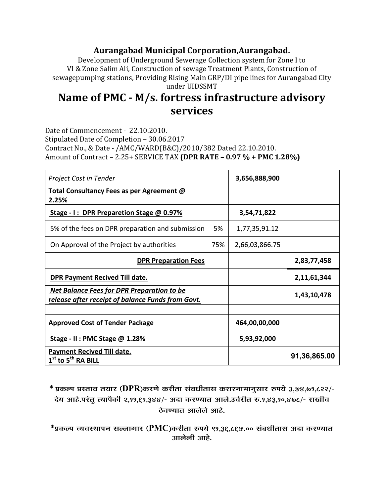## Aurangabad Municipal Corporation, Aurangabad.

Development of Underground Sewerage Collection system for Zone I to VI & Zone Salim Ali, Construction of sewage Treatment Plants, Construction of sewagepumping stations, Providing Rising Main GRP/DI pipe lines for Aurangabad City under UIDSSMT

## Name of PMC - M/s. fortress infrastructure advisory services

Date of Commencement - 22.10.2010. Stipulated Date of Completion - 30.06.2017 Contract No., & Date - /AMC/WARD(B&C)/2010/382 Dated 22.10.2010. Amount of Contract - 2.25+ SERVICE TAX (DPR RATE - 0.97 % + PMC 1.28%)

| Project Cost in Tender                                                                                 |     | 3,656,888,900  |              |
|--------------------------------------------------------------------------------------------------------|-----|----------------|--------------|
| Total Consultancy Fees as per Agreement @<br>2.25%                                                     |     |                |              |
| Stage - I: DPR Preparetion Stage @ 0.97%                                                               |     | 3,54,71,822    |              |
| 5% of the fees on DPR preparation and submission                                                       |     | 1,77,35,91.12  |              |
| On Approval of the Project by authorities                                                              | 75% | 2,66,03,866.75 |              |
| <b>DPR Preparation Fees</b>                                                                            |     |                | 2,83,77,458  |
| <b>DPR Payment Recived Till date.</b>                                                                  |     |                | 2,11,61,344  |
| <u>Net Balance Fees for DPR Preparation to be</u><br>release after receipt of balance Funds from Govt. |     |                | 1,43,10,478  |
|                                                                                                        |     |                |              |
| <b>Approved Cost of Tender Package</b>                                                                 |     | 464,00,00,000  |              |
| Stage - II : PMC Stage @ 1.28%                                                                         |     | 5,93,92,000    |              |
| <b>Payment Recived Till date.</b><br>$1st$ to $5th$ RA BILL                                            |     |                | 91,36,865.00 |

\* प्रकल्प प्रस्ताव तयार (DPR)करणे करीता संबधीतास करारनामानुसार रुपये ३,५४,७१,८२२/-देय आहे.परंतू त्यापैकी २,११,६१,३४४/- अदा करण्यात आले.उर्वरीत रु.१,४३,१०,४७८/- राखीव ठेवण्यात आलेले आहे.

 $*$ प्रकल्प व्यवस्थापन सल्लागार (PMC)करीता रुपये ९१,३६,८६५.०० संबधीतास अदा करण्यात आलेली आहे.